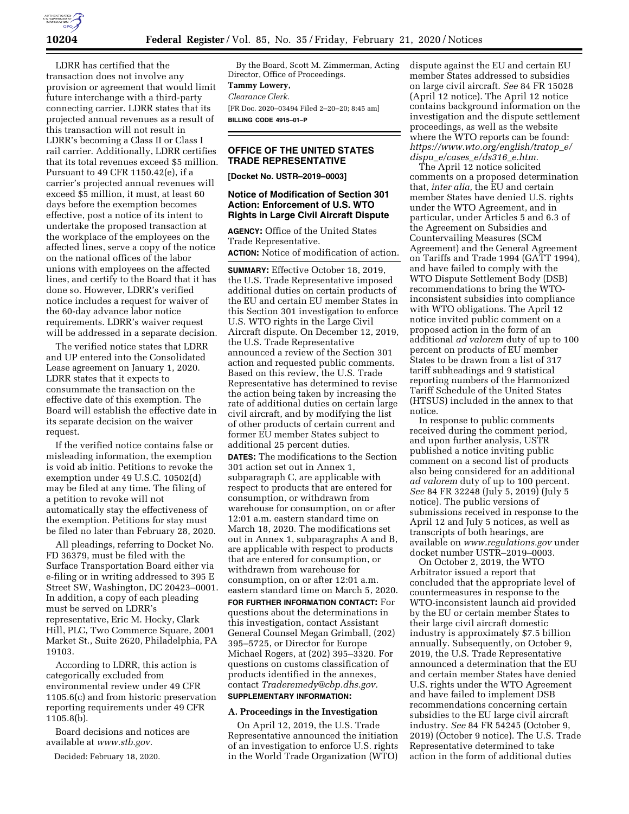

LDRR has certified that the transaction does not involve any provision or agreement that would limit future interchange with a third-party connecting carrier. LDRR states that its projected annual revenues as a result of this transaction will not result in LDRR's becoming a Class II or Class I rail carrier. Additionally, LDRR certifies that its total revenues exceed \$5 million. Pursuant to 49 CFR 1150.42(e), if a carrier's projected annual revenues will exceed \$5 million, it must, at least 60 days before the exemption becomes effective, post a notice of its intent to undertake the proposed transaction at the workplace of the employees on the affected lines, serve a copy of the notice on the national offices of the labor unions with employees on the affected lines, and certify to the Board that it has done so. However, LDRR's verified notice includes a request for waiver of the 60-day advance labor notice requirements. LDRR's waiver request will be addressed in a separate decision.

The verified notice states that LDRR and UP entered into the Consolidated Lease agreement on January 1, 2020. LDRR states that it expects to consummate the transaction on the effective date of this exemption. The Board will establish the effective date in its separate decision on the waiver request.

If the verified notice contains false or misleading information, the exemption is void ab initio. Petitions to revoke the exemption under 49 U.S.C. 10502(d) may be filed at any time. The filing of a petition to revoke will not automatically stay the effectiveness of the exemption. Petitions for stay must be filed no later than February 28, 2020.

All pleadings, referring to Docket No. FD 36379, must be filed with the Surface Transportation Board either via e-filing or in writing addressed to 395 E Street SW, Washington, DC 20423–0001. In addition, a copy of each pleading must be served on LDRR's representative, Eric M. Hocky, Clark Hill, PLC, Two Commerce Square, 2001 Market St., Suite 2620, Philadelphia, PA 19103.

According to LDRR, this action is categorically excluded from environmental review under 49 CFR 1105.6(c) and from historic preservation reporting requirements under 49 CFR 1105.8(b).

Board decisions and notices are available at *www.stb.gov.* 

Decided: February 18, 2020.

By the Board, Scott M. Zimmerman, Acting Director, Office of Proceedings. **Tammy Lowery,**  *Clearance Clerk.*  [FR Doc. 2020–03494 Filed 2–20–20; 8:45 am] **BILLING CODE 4915–01–P** 

# **OFFICE OF THE UNITED STATES TRADE REPRESENTATIVE**

**[Docket No. USTR–2019–0003]** 

# **Notice of Modification of Section 301 Action: Enforcement of U.S. WTO Rights in Large Civil Aircraft Dispute**

**AGENCY:** Office of the United States Trade Representative.

**ACTION:** Notice of modification of action.

**SUMMARY:** Effective October 18, 2019, the U.S. Trade Representative imposed additional duties on certain products of the EU and certain EU member States in this Section 301 investigation to enforce U.S. WTO rights in the Large Civil Aircraft dispute. On December 12, 2019, the U.S. Trade Representative announced a review of the Section 301 action and requested public comments. Based on this review, the U.S. Trade Representative has determined to revise the action being taken by increasing the rate of additional duties on certain large civil aircraft, and by modifying the list of other products of certain current and former EU member States subject to additional 25 percent duties.

**DATES:** The modifications to the Section 301 action set out in Annex 1, subparagraph C, are applicable with respect to products that are entered for consumption, or withdrawn from warehouse for consumption, on or after 12:01 a.m. eastern standard time on March 18, 2020. The modifications set out in Annex 1, subparagraphs A and B, are applicable with respect to products that are entered for consumption, or withdrawn from warehouse for consumption, on or after 12:01 a.m. eastern standard time on March 5, 2020. **FOR FURTHER INFORMATION CONTACT:** For questions about the determinations in this investigation, contact Assistant General Counsel Megan Grimball, (202) 395–5725, or Director for Europe Michael Rogers, at (202) 395–3320. For questions on customs classification of products identified in the annexes, contact *Traderemedy@cbp.dhs.gov.* 

# **A. Proceedings in the Investigation**

**SUPPLEMENTARY INFORMATION:** 

On April 12, 2019, the U.S. Trade Representative announced the initiation of an investigation to enforce U.S. rights in the World Trade Organization (WTO)

dispute against the EU and certain EU member States addressed to subsidies on large civil aircraft. *See* 84 FR 15028 (April 12 notice). The April 12 notice contains background information on the investigation and the dispute settlement proceedings, as well as the website where the WTO reports can be found: *https://www.wto.org/english/tratop*\_*e/ dispu*\_*e/cases*\_*e/ds316*\_*e.htm.* 

The April 12 notice solicited comments on a proposed determination that, *inter alia,* the EU and certain member States have denied U.S. rights under the WTO Agreement, and in particular, under Articles 5 and 6.3 of the Agreement on Subsidies and Countervailing Measures (SCM Agreement) and the General Agreement on Tariffs and Trade 1994 (GATT 1994), and have failed to comply with the WTO Dispute Settlement Body (DSB) recommendations to bring the WTOinconsistent subsidies into compliance with WTO obligations. The April 12 notice invited public comment on a proposed action in the form of an additional *ad valorem* duty of up to 100 percent on products of EU member States to be drawn from a list of 317 tariff subheadings and 9 statistical reporting numbers of the Harmonized Tariff Schedule of the United States (HTSUS) included in the annex to that notice.

In response to public comments received during the comment period, and upon further analysis, USTR published a notice inviting public comment on a second list of products also being considered for an additional *ad valorem* duty of up to 100 percent. *See* 84 FR 32248 (July 5, 2019) (July 5 notice). The public versions of submissions received in response to the April 12 and July 5 notices, as well as transcripts of both hearings, are available on *www.regulations.gov* under docket number USTR–2019–0003.

On October 2, 2019, the WTO Arbitrator issued a report that concluded that the appropriate level of countermeasures in response to the WTO-inconsistent launch aid provided by the EU or certain member States to their large civil aircraft domestic industry is approximately \$7.5 billion annually. Subsequently, on October 9, 2019, the U.S. Trade Representative announced a determination that the EU and certain member States have denied U.S. rights under the WTO Agreement and have failed to implement DSB recommendations concerning certain subsidies to the EU large civil aircraft industry. *See* 84 FR 54245 (October 9, 2019) (October 9 notice). The U.S. Trade Representative determined to take action in the form of additional duties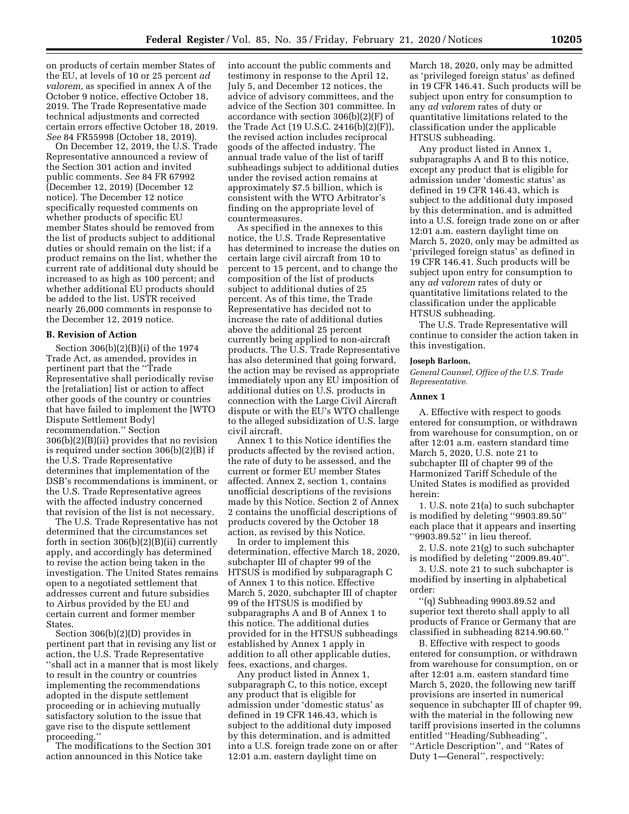on products of certain member States of the EU, at levels of 10 or 25 percent *ad valorem,* as specified in annex A of the October 9 notice, effective October 18, 2019. The Trade Representative made technical adjustments and corrected certain errors effective October 18, 2019. *See* 84 FR55998 (October 18, 2019).

On December 12, 2019, the U.S. Trade Representative announced a review of the Section 301 action and invited public comments. *See* 84 FR 67992 (December 12, 2019) (December 12 notice). The December 12 notice specifically requested comments on whether products of specific EU member States should be removed from the list of products subject to additional duties or should remain on the list; if a product remains on the list, whether the current rate of additional duty should be increased to as high as 100 percent; and whether additional EU products should be added to the list. USTR received nearly 26,000 comments in response to the December 12, 2019 notice.

#### **B. Revision of Action**

Section 306(b)(2)(B)(i) of the 1974 Trade Act, as amended, provides in pertinent part that the ''Trade Representative shall periodically revise the [retaliation] list or action to affect other goods of the country or countries that have failed to implement the [WTO Dispute Settlement Body] recommendation.'' Section 306(b)(2)(B)(ii) provides that no revision is required under section 306(b)(2)(B) if the U.S. Trade Representative determines that implementation of the DSB's recommendations is imminent, or the U.S. Trade Representative agrees with the affected industry concerned that revision of the list is not necessary.

The U.S. Trade Representative has not determined that the circumstances set forth in section 306(b)(2)(B)(ii) currently apply, and accordingly has determined to revise the action being taken in the investigation. The United States remains open to a negotiated settlement that addresses current and future subsidies to Airbus provided by the EU and certain current and former member States.

Section 306(b)(2)(D) provides in pertinent part that in revising any list or action, the U.S. Trade Representative ''shall act in a manner that is most likely to result in the country or countries implementing the recommendations adopted in the dispute settlement proceeding or in achieving mutually satisfactory solution to the issue that gave rise to the dispute settlement proceeding.''

The modifications to the Section 301 action announced in this Notice take

into account the public comments and testimony in response to the April 12, July 5, and December 12 notices, the advice of advisory committees, and the advice of the Section 301 committee. In accordance with section 306(b)(2)(F) of the Trade Act (19 U.S.C. 2416(b)(2)(F)), the revised action includes reciprocal goods of the affected industry. The annual trade value of the list of tariff subheadings subject to additional duties under the revised action remains at approximately \$7.5 billion, which is consistent with the WTO Arbitrator's finding on the appropriate level of countermeasures.

As specified in the annexes to this notice, the U.S. Trade Representative has determined to increase the duties on certain large civil aircraft from 10 to percent to 15 percent, and to change the composition of the list of products subject to additional duties of 25 percent. As of this time, the Trade Representative has decided not to increase the rate of additional duties above the additional 25 percent currently being applied to non-aircraft products. The U.S. Trade Representative has also determined that going forward, the action may be revised as appropriate immediately upon any EU imposition of additional duties on U.S. products in connection with the Large Civil Aircraft dispute or with the EU's WTO challenge to the alleged subsidization of U.S. large civil aircraft.

Annex 1 to this Notice identifies the products affected by the revised action, the rate of duty to be assessed, and the current or former EU member States affected. Annex 2, section 1, contains unofficial descriptions of the revisions made by this Notice. Section 2 of Annex 2 contains the unofficial descriptions of products covered by the October 18 action, as revised by this Notice.

In order to implement this determination, effective March 18, 2020, subchapter III of chapter 99 of the HTSUS is modified by subparagraph C of Annex 1 to this notice. Effective March 5, 2020, subchapter III of chapter 99 of the HTSUS is modified by subparagraphs A and B of Annex 1 to this notice. The additional duties provided for in the HTSUS subheadings established by Annex 1 apply in addition to all other applicable duties, fees, exactions, and charges.

Any product listed in Annex 1, subparagraph C, to this notice, except any product that is eligible for admission under 'domestic status' as defined in 19 CFR 146.43, which is subject to the additional duty imposed by this determination, and is admitted into a U.S. foreign trade zone on or after 12:01 a.m. eastern daylight time on

March 18, 2020, only may be admitted as 'privileged foreign status' as defined in 19 CFR 146.41. Such products will be subject upon entry for consumption to any *ad valorem* rates of duty or quantitative limitations related to the classification under the applicable HTSUS subheading.

Any product listed in Annex 1, subparagraphs A and B to this notice, except any product that is eligible for admission under 'domestic status' as defined in 19 CFR 146.43, which is subject to the additional duty imposed by this determination, and is admitted into a U.S. foreign trade zone on or after 12:01 a.m. eastern daylight time on March 5, 2020, only may be admitted as 'privileged foreign status' as defined in 19 CFR 146.41. Such products will be subject upon entry for consumption to any *ad valorem* rates of duty or quantitative limitations related to the classification under the applicable HTSUS subheading.

The U.S. Trade Representative will continue to consider the action taken in this investigation.

#### **Joseph Barloon,**

*General Counsel, Office of the U.S. Trade Representative.* 

#### **Annex 1**

A. Effective with respect to goods entered for consumption, or withdrawn from warehouse for consumption, on or after 12:01 a.m. eastern standard time March 5, 2020, U.S. note 21 to subchapter III of chapter 99 of the Harmonized Tariff Schedule of the United States is modified as provided herein:

1. U.S. note 21(a) to such subchapter is modified by deleting ''9903.89.50'' each place that it appears and inserting ''9903.89.52'' in lieu thereof.

2. U.S. note 21(g) to such subchapter is modified by deleting ''2009.89.40''.

3. U.S. note 21 to such subchapter is modified by inserting in alphabetical order:

''(q) Subheading 9903.89.52 and superior text thereto shall apply to all products of France or Germany that are classified in subheading 8214.90.60.''

B. Effective with respect to goods entered for consumption, or withdrawn from warehouse for consumption, on or after 12:01 a.m. eastern standard time March 5, 2020, the following new tariff provisions are inserted in numerical sequence in subchapter III of chapter 99, with the material in the following new tariff provisions inserted in the columns entitled ''Heading/Subheading'', ''Article Description'', and ''Rates of Duty 1—General'', respectively: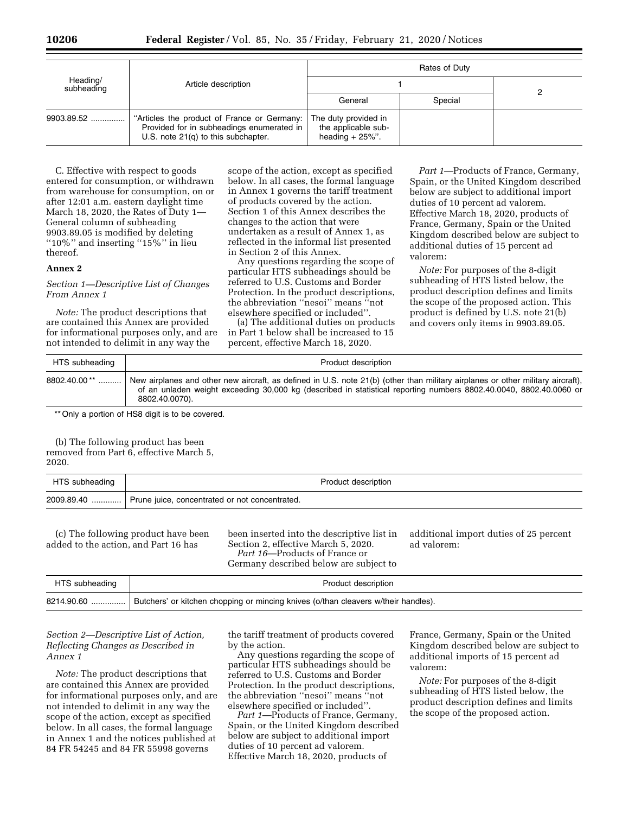| Heading/<br>subheading | Article description                                                                                                             | Rates of Duty                                                     |         |  |
|------------------------|---------------------------------------------------------------------------------------------------------------------------------|-------------------------------------------------------------------|---------|--|
|                        |                                                                                                                                 |                                                                   |         |  |
|                        |                                                                                                                                 | General                                                           | Special |  |
| $9903.89.52$           | "Articles the product of France or Germany:<br>Provided for in subheadings enumerated in<br>U.S. note 21(q) to this subchapter. | The duty provided in<br>the applicable sub-<br>heading $+25\%$ ". |         |  |

C. Effective with respect to goods entered for consumption, or withdrawn from warehouse for consumption, on or after 12:01 a.m. eastern daylight time March 18, 2020, the Rates of Duty 1— General column of subheading 9903.89.05 is modified by deleting ''10%'' and inserting ''15%'' in lieu thereof.

#### **Annex 2**

## *Section 1—Descriptive List of Changes From Annex 1*

*Note:* The product descriptions that are contained this Annex are provided for informational purposes only, and are not intended to delimit in any way the

scope of the action, except as specified below. In all cases, the formal language in Annex 1 governs the tariff treatment of products covered by the action. Section 1 of this Annex describes the changes to the action that were undertaken as a result of Annex 1, as reflected in the informal list presented in Section 2 of this Annex.

Any questions regarding the scope of particular HTS subheadings should be referred to U.S. Customs and Border Protection. In the product descriptions, the abbreviation ''nesoi'' means ''not elsewhere specified or included''.

(a) The additional duties on products in Part 1 below shall be increased to 15 percent, effective March 18, 2020.

*Part 1*—Products of France, Germany, Spain, or the United Kingdom described below are subject to additional import duties of 10 percent ad valorem. Effective March 18, 2020, products of France, Germany, Spain or the United Kingdom described below are subject to additional duties of 15 percent ad valorem:

*Note:* For purposes of the 8-digit subheading of HTS listed below, the product description defines and limits the scope of the proposed action. This product is defined by U.S. note 21(b) and covers only items in 9903.89.05.

| HTS subheading | Product description                                                                                                                                                                                                                                                     |
|----------------|-------------------------------------------------------------------------------------------------------------------------------------------------------------------------------------------------------------------------------------------------------------------------|
| $8802.40.00**$ | New airplanes and other new aircraft, as defined in U.S. note 21(b) (other than military airplanes or other military aircraft),<br>of an unladen weight exceeding 30,000 kg (described in statistical reporting numbers 8802.40.0040, 8802.40.0060 or<br>8802.40.0070). |

\*\* Only a portion of HS8 digit is to be covered.

(b) The following product has been removed from Part 6, effective March 5, 2020.

| HTS subheading |                                                              | Product description |
|----------------|--------------------------------------------------------------|---------------------|
|                | 2009.89.40    Prune juice, concentrated or not concentrated. |                     |
|                |                                                              |                     |

(c) The following product have been added to the action, and Part 16 has

been inserted into the descriptive list in Section 2, effective March 5, 2020. *Part 16*—Products of France or Germany described below are subject to

additional import duties of 25 percent ad valorem:

| Germany described below are subject to |                                                                                    |  |
|----------------------------------------|------------------------------------------------------------------------------------|--|
| HTS subheading                         | Product description                                                                |  |
| 8214.90.60                             | Butchers' or kitchen chopping or mincing knives (o/than cleavers w/their handles). |  |

## *Section 2—Descriptive List of Action, Reflecting Changes as Described in Annex 1*

*Note:* The product descriptions that are contained this Annex are provided for informational purposes only, and are not intended to delimit in any way the scope of the action, except as specified below. In all cases, the formal language in Annex 1 and the notices published at 84 FR 54245 and 84 FR 55998 governs

the tariff treatment of products covered by the action.

Any questions regarding the scope of particular HTS subheadings should be referred to U.S. Customs and Border Protection. In the product descriptions, the abbreviation ''nesoi'' means ''not elsewhere specified or included''.

*Part 1*—Products of France, Germany, Spain, or the United Kingdom described below are subject to additional import duties of 10 percent ad valorem. Effective March 18, 2020, products of

France, Germany, Spain or the United Kingdom described below are subject to additional imports of 15 percent ad valorem:

*Note:* For purposes of the 8-digit subheading of HTS listed below, the product description defines and limits the scope of the proposed action.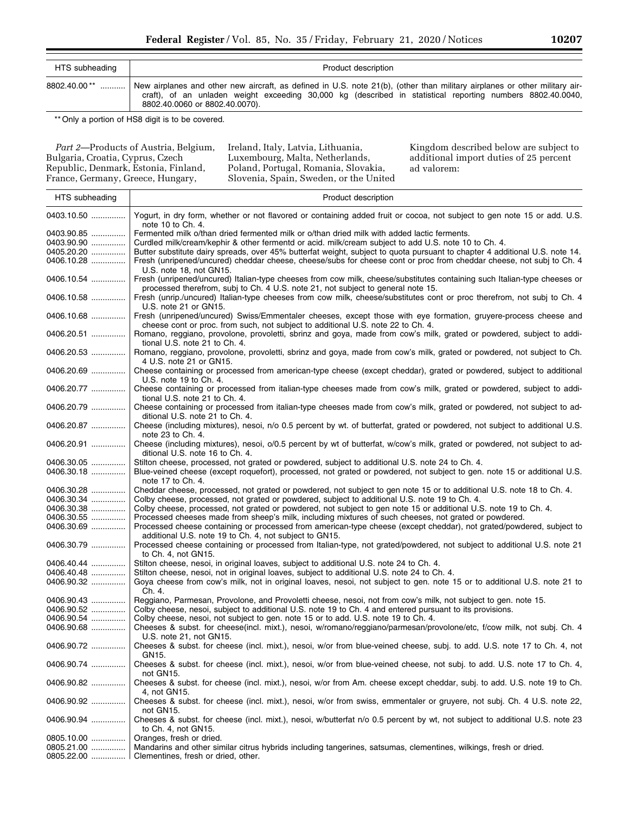| HTS subheading | Product description                                                                                                                                                                                                                                                        |
|----------------|----------------------------------------------------------------------------------------------------------------------------------------------------------------------------------------------------------------------------------------------------------------------------|
| 8802.40.00**   | New airplanes and other new aircraft, as defined in U.S. note 21(b), (other than military airplanes or other military air-<br>craft), of an unladen weight exceeding 30,000 kg (described in statistical reporting numbers 8802.40.0040,<br>8802.40.0060 or 8802.40.0070). |

\*\* Only a portion of HS8 digit is to be covered.

*Part 2*—Products of Austria, Belgium, Bulgaria, Croatia, Cyprus, Czech Republic, Denmark, Estonia, Finland, France, Germany, Greece, Hungary,

Ireland, Italy, Latvia, Lithuania, Luxembourg, Malta, Netherlands, Poland, Portugal, Romania, Slovakia, Slovenia, Spain, Sweden, or the United

Kingdom described below are subject to additional import duties of 25 percent ad valorem:

| HTS subheading                                                     | Product description                                                                                                                                                                                                                                                                                                                                                                                                                                                                                                                                                         |
|--------------------------------------------------------------------|-----------------------------------------------------------------------------------------------------------------------------------------------------------------------------------------------------------------------------------------------------------------------------------------------------------------------------------------------------------------------------------------------------------------------------------------------------------------------------------------------------------------------------------------------------------------------------|
| 0403.10.50                                                         | Yogurt, in dry form, whether or not flavored or containing added fruit or cocoa, not subject to gen note 15 or add. U.S.<br>note 10 to Ch. 4.                                                                                                                                                                                                                                                                                                                                                                                                                               |
| 0403.90.85<br>0403.90.90<br>0405.20.20<br>0406.10.28               | Fermented milk o/than dried fermented milk or o/than dried milk with added lactic ferments.<br>Curdled milk/cream/kephir & other fermentd or acid. milk/cream subject to add U.S. note 10 to Ch. 4.<br>Butter substitute dairy spreads, over 45% butterfat weight, subject to quota pursuant to chapter 4 additional U.S. note 14.<br>Fresh (unripened/uncured) cheddar cheese, cheese/subs for cheese cont or proc from cheddar cheese, not subj to Ch. 4                                                                                                                  |
| 0406.10.54                                                         | U.S. note 18, not GN15.<br>Fresh (unripened/uncured) Italian-type cheeses from cow milk, cheese/substitutes containing such Italian-type cheeses or<br>processed therefrom, subj to Ch. 4 U.S. note 21, not subject to general note 15.                                                                                                                                                                                                                                                                                                                                     |
| 0406.10.58                                                         | Fresh (unrip./uncured) Italian-type cheeses from cow milk, cheese/substitutes cont or proc therefrom, not subj to Ch. 4<br>U.S. note 21 or GN15.                                                                                                                                                                                                                                                                                                                                                                                                                            |
| 0406.10.68                                                         | Fresh (unripened/uncured) Swiss/Emmentaler cheeses, except those with eye formation, gruyere-process cheese and<br>cheese cont or proc. from such, not subject to additional U.S. note 22 to Ch. 4.                                                                                                                                                                                                                                                                                                                                                                         |
| 0406.20.51                                                         | Romano, reggiano, provolone, provoletti, sbrinz and goya, made from cow's milk, grated or powdered, subject to addi-<br>tional U.S. note 21 to Ch. 4.                                                                                                                                                                                                                                                                                                                                                                                                                       |
| 0406.20.53                                                         | Romano, reggiano, provolone, provoletti, sbrinz and goya, made from cow's milk, grated or powdered, not subject to Ch.<br>4 U.S. note 21 or GN15.                                                                                                                                                                                                                                                                                                                                                                                                                           |
| 0406.20.69                                                         | Cheese containing or processed from american-type cheese (except cheddar), grated or powdered, subject to additional<br>U.S. note 19 to Ch. 4.                                                                                                                                                                                                                                                                                                                                                                                                                              |
| 0406.20.77                                                         | Cheese containing or processed from italian-type cheeses made from cow's milk, grated or powdered, subject to addi-<br>tional U.S. note 21 to Ch. 4.                                                                                                                                                                                                                                                                                                                                                                                                                        |
| 0406.20.79                                                         | Cheese containing or processed from italian-type cheeses made from cow's milk, grated or powdered, not subject to ad-<br>ditional U.S. note 21 to Ch. 4.                                                                                                                                                                                                                                                                                                                                                                                                                    |
| 0406.20.87                                                         | Cheese (including mixtures), nesoi, n/o 0.5 percent by wt. of butterfat, grated or powdered, not subject to additional U.S.<br>note 23 to Ch. 4.                                                                                                                                                                                                                                                                                                                                                                                                                            |
| 0406.20.91                                                         | Cheese (including mixtures), nesoi, o/0.5 percent by wt of butterfat, w/cow's milk, grated or powdered, not subject to ad-<br>ditional U.S. note 16 to Ch. 4.                                                                                                                                                                                                                                                                                                                                                                                                               |
| 0406.30.05<br>0406.30.18                                           | Stilton cheese, processed, not grated or powdered, subject to additional U.S. note 24 to Ch. 4.<br>Blue-veined cheese (except roquefort), processed, not grated or powdered, not subject to gen. note 15 or additional U.S.<br>note 17 to Ch. 4.                                                                                                                                                                                                                                                                                                                            |
| 0406.30.28<br>0406.30.34<br>0406.30.38<br>0406.30.55<br>0406.30.69 | Cheddar cheese, processed, not grated or powdered, not subject to gen note 15 or to additional U.S. note 18 to Ch. 4.<br>Colby cheese, processed, not grated or powdered, subject to additional U.S. note 19 to Ch. 4.<br>Colby cheese, processed, not grated or powdered, not subject to gen note 15 or additional U.S. note 19 to Ch. 4.<br>Processed cheeses made from sheep's milk, including mixtures of such cheeses, not grated or powdered.<br>Processed cheese containing or processed from american-type cheese (except cheddar), not grated/powdered, subject to |
| 0406.30.79                                                         | additional U.S. note 19 to Ch. 4, not subject to GN15.<br>Processed cheese containing or processed from Italian-type, not grated/powdered, not subject to additional U.S. note 21<br>to Ch. 4, not GN15.                                                                                                                                                                                                                                                                                                                                                                    |
| 0406.40.44<br>0406.40.48                                           | Stilton cheese, nesoi, in original loaves, subject to additional U.S. note 24 to Ch. 4.<br>Stilton cheese, nesoi, not in original loaves, subject to additional U.S. note 24 to Ch. 4.                                                                                                                                                                                                                                                                                                                                                                                      |
| 0406.90.32                                                         | Goya cheese from cow's milk, not in original loaves, nesoi, not subject to gen. note 15 or to additional U.S. note 21 to<br>Ch. 4.                                                                                                                                                                                                                                                                                                                                                                                                                                          |
| 0406.90.43<br>0406.90.52                                           | Reggiano, Parmesan, Provolone, and Provoletti cheese, nesoi, not from cow's milk, not subject to gen. note 15.<br>Colby cheese, nesoi, subject to additional U.S. note 19 to Ch. 4 and entered pursuant to its provisions.                                                                                                                                                                                                                                                                                                                                                  |
| 0406.90.54<br>0406.90.68                                           | Colby cheese, nesoi, not subject to gen. note 15 or to add. U.S. note 19 to Ch. 4.<br>Cheeses & subst. for cheese(incl. mixt.), nesoi, w/romano/reggiano/parmesan/provolone/etc, f/cow milk, not subj. Ch. 4                                                                                                                                                                                                                                                                                                                                                                |
|                                                                    | U.S. note 21, not GN15.                                                                                                                                                                                                                                                                                                                                                                                                                                                                                                                                                     |
| 0406.90.72                                                         | Cheeses & subst. for cheese (incl. mixt.), nesoi, w/or from blue-veined cheese, subj. to add. U.S. note 17 to Ch. 4, not<br>GN15.                                                                                                                                                                                                                                                                                                                                                                                                                                           |
| 0406.90.74                                                         | Cheeses & subst. for cheese (incl. mixt.), nesoi, w/or from blue-veined cheese, not subj. to add. U.S. note 17 to Ch. 4,<br>not GN15.                                                                                                                                                                                                                                                                                                                                                                                                                                       |
| 0406.90.82                                                         | Cheeses & subst. for cheese (incl. mixt.), nesoi, w/or from Am. cheese except cheddar, subj. to add. U.S. note 19 to Ch.<br>4, not GN15.                                                                                                                                                                                                                                                                                                                                                                                                                                    |
| 0406.90.92                                                         | Cheeses & subst. for cheese (incl. mixt.), nesoi, w/or from swiss, emmentaler or gruyere, not subj. Ch. 4 U.S. note 22,<br>not GN15.                                                                                                                                                                                                                                                                                                                                                                                                                                        |
| 0406.90.94                                                         | Cheeses & subst. for cheese (incl. mixt.), nesoi, w/butterfat n/o 0.5 percent by wt, not subject to additional U.S. note 23<br>to $Ch. 4$ , not $GN15$ .                                                                                                                                                                                                                                                                                                                                                                                                                    |
| 0805.10.00                                                         | Oranges, fresh or dried.                                                                                                                                                                                                                                                                                                                                                                                                                                                                                                                                                    |
| 0805.21.00<br>0805.22.00                                           | Mandarins and other similar citrus hybrids including tangerines, satsumas, clementines, wilkings, fresh or dried.<br>Clementines, fresh or dried, other.                                                                                                                                                                                                                                                                                                                                                                                                                    |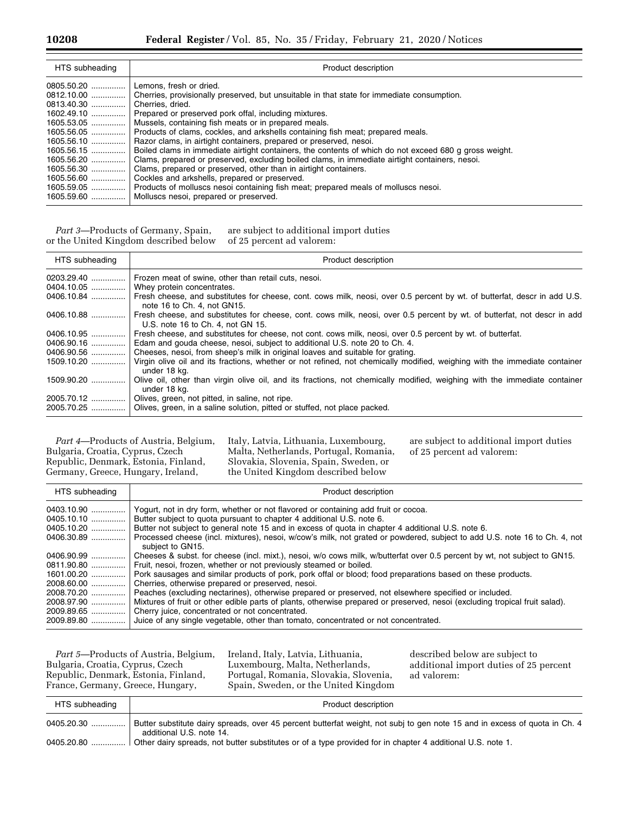| HTS subheading | Product description                                                                                    |
|----------------|--------------------------------------------------------------------------------------------------------|
| $0805.50.20$   | Lemons, fresh or dried.                                                                                |
| 0812.10.00     | Cherries, provisionally preserved, but unsuitable in that state for immediate consumption.             |
|                | Cherries, dried.                                                                                       |
| 1602.49.10     | Prepared or preserved pork offal, including mixtures.                                                  |
| $1605.53.05$   | Mussels, containing fish meats or in prepared meals.                                                   |
| 1605.56.05     | Products of clams, cockles, and arkshells containing fish meat; prepared meals.                        |
| $1605.56.10$   | Razor clams, in airtight containers, prepared or preserved, nesoi.                                     |
|                | Boiled clams in immediate airtight containers, the contents of which do not exceed 680 g gross weight. |
| $1605.56.20$   | Clams, prepared or preserved, excluding boiled clams, in immediate airtight containers, nesoi.         |
| 1605.56.30     | Clams, prepared or preserved, other than in airtight containers.                                       |
| 1605.56.60     | Cockles and arkshells, prepared or preserved.                                                          |
|                | 1605.59.05  Products of molluscs nesoi containing fish meat; prepared meals of molluscs nesoi.         |
|                | 1605.59.60    Molluscs nesol, prepared or preserved.                                                   |

*Part 3*—Products of Germany, Spain, or the United Kingdom described below are subject to additional import duties of 25 percent ad valorem:

| HTS subheading | Product description                                                                                                                                                  |
|----------------|----------------------------------------------------------------------------------------------------------------------------------------------------------------------|
|                | Frozen meat of swine, other than retail cuts, nesoi.                                                                                                                 |
|                | 0404.10.05    Whey protein concentrates.                                                                                                                             |
|                | 0406.10.84  Fresh cheese, and substitutes for cheese, cont. cows milk, neosi, over 0.5 percent by wt. of butterfat, descr in add U.S.<br>note 16 to Ch. 4, not GN15. |
| 0406.10.88     | Fresh cheese, and substitutes for cheese, cont. cows milk, neosi, over 0.5 percent by wt. of butterfat, not descr in add<br>U.S. note 16 to Ch. 4. not GN 15.        |
| 0406.10.95     | Fresh cheese, and substitutes for cheese, not cont. cows milk, neosi, over 0.5 percent by wt. of butterfat.                                                          |
| 0406.90.16     | Edam and gouda cheese, nesol, subject to additional U.S. note 20 to Ch. 4.                                                                                           |
| 0406.90.56     | Cheeses, nesol, from sheep's milk in original loaves and suitable for grating.                                                                                       |
| 1509.10.20     | Virgin olive oil and its fractions, whether or not refined, not chemically modified, weighing with the immediate container<br>under 18 ka.                           |
| $1509.90.20$   | Olive oil, other than virgin olive oil, and its fractions, not chemically modified, weighing with the immediate container<br>under 18 kg.                            |
|                | Olives, green, not pitted, in saline, not ripe.                                                                                                                      |
|                | 2005.70.25    Olives, green, in a saline solution, pitted or stuffed, not place packed.                                                                              |

*Part 4*—Products of Austria, Belgium, Bulgaria, Croatia, Cyprus, Czech Republic, Denmark, Estonia, Finland, Germany, Greece, Hungary, Ireland,

Italy, Latvia, Lithuania, Luxembourg, Malta, Netherlands, Portugal, Romania, Slovakia, Slovenia, Spain, Sweden, or the United Kingdom described below

are subject to additional import duties of 25 percent ad valorem:

| HTS subheading | Product description                                                                                                                           |
|----------------|-----------------------------------------------------------------------------------------------------------------------------------------------|
| 0403.10.90     | Yogurt, not in dry form, whether or not flavored or containing add fruit or cocoa.                                                            |
| 0405.10.10     | Butter subject to quota pursuant to chapter 4 additional U.S. note 6.                                                                         |
| 0405.10.20     | Butter not subject to general note 15 and in excess of guota in chapter 4 additional U.S. note 6.                                             |
| 0406.30.89     | Processed cheese (incl. mixtures), nesoi, w/cow's milk, not grated or powdered, subject to add U.S. note 16 to Ch. 4, not<br>subject to GN15. |
| 0406.90.99     | Cheeses & subst. for cheese (incl. mixt.), nesoi, w/o cows milk, w/butterfat over 0.5 percent by wt, not subject to GN15.                     |
| 0811.90.80     | Fruit, nesoi, frozen, whether or not previously steamed or boiled.                                                                            |
| 1601.00.20     | Pork sausages and similar products of pork, pork offal or blood; food preparations based on these products.                                   |
| 2008.60.00     | Cherries, otherwise prepared or preserved, nesoi.                                                                                             |
| 2008.70.20     | Peaches (excluding nectarines), otherwise prepared or preserved, not elsewhere specified or included.                                         |
| 2008.97.90     | Mixtures of fruit or other edible parts of plants, otherwise prepared or preserved, nesoi (excluding tropical fruit salad).                   |
| 2009.89.65     | Cherry juice, concentrated or not concentrated.                                                                                               |
| 2009.89.80     | Juice of any single vegetable, other than tomato, concentrated or not concentrated.                                                           |

*Part 5*—Products of Austria, Belgium, Bulgaria, Croatia, Cyprus, Czech Republic, Denmark, Estonia, Finland, France, Germany, Greece, Hungary,

Ireland, Italy, Latvia, Lithuania, Luxembourg, Malta, Netherlands, Portugal, Romania, Slovakia, Slovenia, Spain, Sweden, or the United Kingdom

described below are subject to additional import duties of 25 percent ad valorem:

| HTS subheading | Product description                                                                                                                                    |
|----------------|--------------------------------------------------------------------------------------------------------------------------------------------------------|
| 0405.20.30     | Butter substitute dairy spreads, over 45 percent butterfat weight, not subj to gen note 15 and in excess of quota in Ch. 4<br>additional U.S. note 14. |
|                | l Other dairy spreads, not butter substitutes or of a type provided for in chapter 4 additional U.S. note 1.                                           |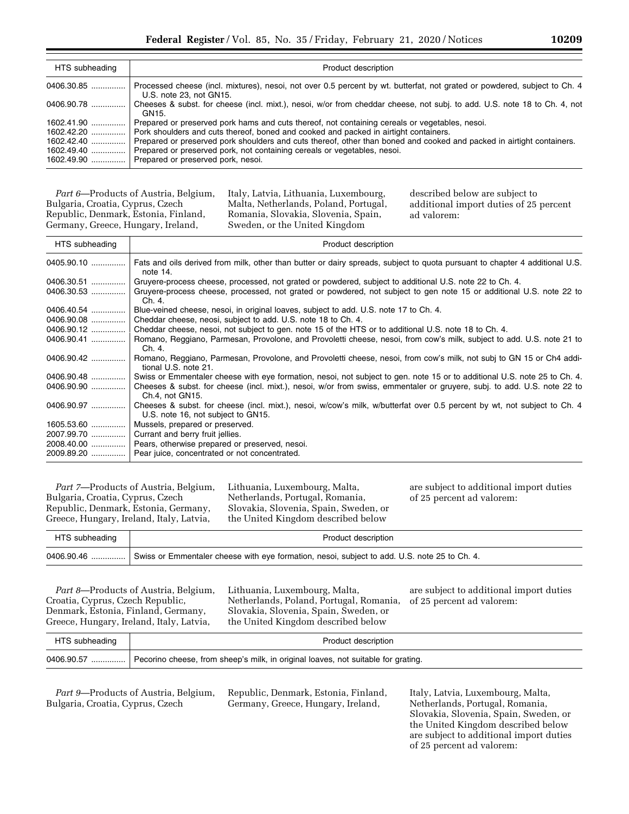| HTS subheading | Product description                                                                                                                                  |
|----------------|------------------------------------------------------------------------------------------------------------------------------------------------------|
| 0406.30.85     | Processed cheese (incl. mixtures), nesol, not over 0.5 percent by wt. butterfat, not grated or powdered, subject to Ch. 4<br>U.S. note 23. not GN15. |
| 0406.90.78     | Cheeses & subst. for cheese (incl. mixt.), nesoi, w/or from cheddar cheese, not subj. to add. U.S. note 18 to Ch. 4, not<br>GN15.                    |
| 1602.41.90     | Prepared or preserved pork hams and cuts thereof, not containing cereals or vegetables, nesoi.                                                       |
| $1602.42.20$   | Pork shoulders and cuts thereof, boned and cooked and packed in airtight containers.                                                                 |
| $1602.42.40$   | Prepared or preserved pork shoulders and cuts thereof, other than boned and cooked and packed in airtight containers.                                |
| 1602.49.40     | Prepared or preserved pork, not containing cereals or vegetables, nesoi.                                                                             |
| $1602.49.90$   | Prepared or preserved pork, nesoi.                                                                                                                   |

*Part 6*—Products of Austria, Belgium, Bulgaria, Croatia, Cyprus, Czech Republic, Denmark, Estonia, Finland, Germany, Greece, Hungary, Ireland,

Italy, Latvia, Lithuania, Luxembourg, Malta, Netherlands, Poland, Portugal, Romania, Slovakia, Slovenia, Spain, Sweden, or the United Kingdom

described below are subject to additional import duties of 25 percent ad valorem:

| HTS subheading | Product description                                                                                                                                            |
|----------------|----------------------------------------------------------------------------------------------------------------------------------------------------------------|
| 0405.90.10     | Fats and oils derived from milk, other than butter or dairy spreads, subject to quota pursuant to chapter 4 additional U.S.<br>note 14.                        |
| 0406.30.51     | Gruyere-process cheese, processed, not grated or powdered, subject to additional U.S. note 22 to Ch. 4.                                                        |
| 0406.30.53     | Gruyere-process cheese, processed, not grated or powdered, not subject to gen note 15 or additional U.S. note 22 to<br>Ch. 4.                                  |
|                | Blue-veined cheese, nesoi, in original loaves, subject to add. U.S. note 17 to Ch. 4.                                                                          |
|                | Cheddar cheese, neosi, subject to add. U.S. note 18 to Ch. 4.                                                                                                  |
|                | Cheddar cheese, nesol, not subject to gen. note 15 of the HTS or to additional U.S. note 18 to Ch. 4.                                                          |
| 0406.90.41     | Romano, Reggiano, Parmesan, Provolone, and Provoletti cheese, nesoi, from cow's milk, subject to add. U.S. note 21 to<br>Ch. 4.                                |
| 0406.90.42     | Romano, Reggiano, Parmesan, Provolone, and Provoletti cheese, nesoi, from cow's milk, not subj to GN 15 or Ch4 addi-<br>tional U.S. note 21.                   |
|                | Swiss or Emmentaler cheese with eye formation, nesol, not subject to gen. note 15 or to additional U.S. note 25 to Ch. 4.                                      |
| 0406.90.90     | Cheeses & subst. for cheese (incl. mixt.), nesoi, w/or from swiss, emmentaler or gruyere, subj. to add. U.S. note 22 to<br>Ch.4. not GN15.                     |
| 0406.90.97     | Cheeses & subst. for cheese (incl. mixt.), nesoi, w/cow's milk, w/butterfat over 0.5 percent by wt, not subject to Ch. 4<br>U.S. note 16, not subject to GN15. |
| 1605.53.60     | Mussels, prepared or preserved.                                                                                                                                |
|                | 2007.99.70    Currant and berry fruit jellies.                                                                                                                 |
|                | 2008.40.00    Pears, otherwise prepared or preserved, nesoi.                                                                                                   |
|                | 2009.89.20    Pear juice, concentrated or not concentrated.                                                                                                    |

*Part 7*—Products of Austria, Belgium, Bulgaria, Croatia, Cyprus, Czech Republic, Denmark, Estonia, Germany, Greece, Hungary, Ireland, Italy, Latvia,

Lithuania, Luxembourg, Malta, Netherlands, Portugal, Romania, Slovakia, Slovenia, Spain, Sweden, or the United Kingdom described below

are subject to additional import duties of 25 percent ad valorem:

| Grocco, Trangary, Holding, Rary, Batvia,<br>the United Kingdom described below |                                                                                              |
|--------------------------------------------------------------------------------|----------------------------------------------------------------------------------------------|
| HTS subheading                                                                 | Product description                                                                          |
| 0406.90.46                                                                     | Swiss or Emmentaler cheese with eye formation, nesoi, subject to add. U.S. note 25 to Ch. 4. |

*Part 8*—Products of Austria, Belgium, Croatia, Cyprus, Czech Republic, Denmark, Estonia, Finland, Germany, Greece, Hungary, Ireland, Italy, Latvia,

Lithuania, Luxembourg, Malta, Netherlands, Poland, Portugal, Romania, Slovakia, Slovenia, Spain, Sweden, or the United Kingdom described below

are subject to additional import duties of 25 percent ad valorem:

| HTS subheading | Product description                                                               |
|----------------|-----------------------------------------------------------------------------------|
| 0406.90.57     | Pecorino cheese, from sheep's milk, in original loaves, not suitable for grating. |

*Part 9*—Products of Austria, Belgium, Bulgaria, Croatia, Cyprus, Czech

Republic, Denmark, Estonia, Finland, Germany, Greece, Hungary, Ireland,

Italy, Latvia, Luxembourg, Malta, Netherlands, Portugal, Romania, Slovakia, Slovenia, Spain, Sweden, or the United Kingdom described below are subject to additional import duties of 25 percent ad valorem: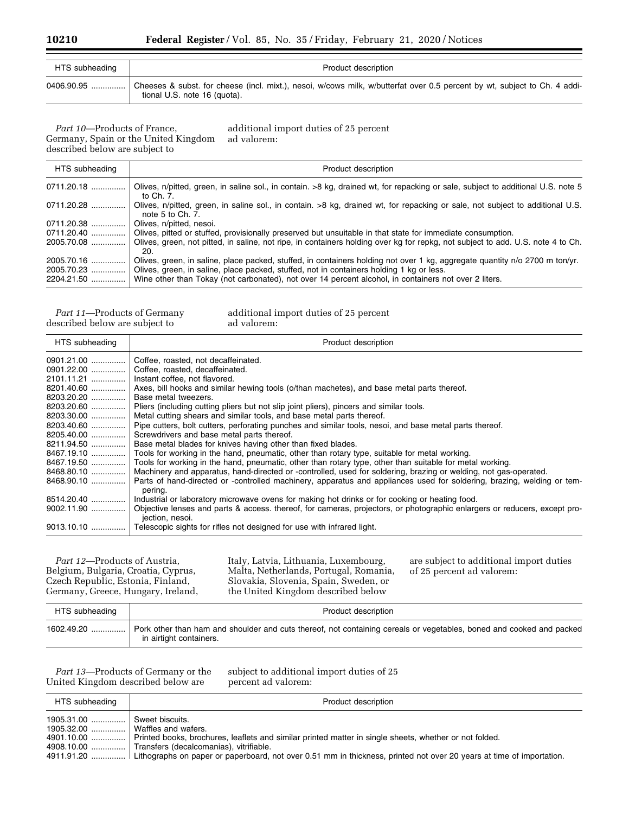| HTS subheading | Product description                                                                                                                                       |
|----------------|-----------------------------------------------------------------------------------------------------------------------------------------------------------|
| 0406.90.95     | Cheeses & subst. for cheese (incl. mixt.), nesoi, w/cows milk, w/butterfat over 0.5 percent by wt, subject to Ch. 4 addi-<br>tional U.S. note 16 (quota). |

*Part 10*—Products of France, Germany, Spain or the United Kingdom described below are subject to

additional import duties of 25 percent ad valorem:

| HTS subheading                         | Product description                                                                                                                                                                                                                                                                                                              |
|----------------------------------------|----------------------------------------------------------------------------------------------------------------------------------------------------------------------------------------------------------------------------------------------------------------------------------------------------------------------------------|
| 0711.20.18                             | Olives, n/pitted, green, in saline sol., in contain. >8 kg, drained wt, for repacking or sale, subject to additional U.S. note 5<br>to Ch. 7.                                                                                                                                                                                    |
| 0711.20.28                             | Olives, n/pitted, green, in saline sol., in contain. >8 kg, drained wt, for repacking or sale, not subject to additional U.S.<br>note 5 to Ch. 7.                                                                                                                                                                                |
| 0711.20.38                             | Olives, n/pitted, nesoi.                                                                                                                                                                                                                                                                                                         |
| 0711.20.40                             | Olives, pitted or stuffed, provisionally preserved but unsuitable in that state for immediate consumption.                                                                                                                                                                                                                       |
| 2005.70.08                             | Olives, green, not pitted, in saline, not ripe, in containers holding over kg for repkg, not subject to add. U.S. note 4 to Ch.<br>20.                                                                                                                                                                                           |
| 2005.70.16<br>2005.70.23<br>2204.21.50 | Olives, green, in saline, place packed, stuffed, in containers holding not over 1 kg, aggregate quantity n/o 2700 m ton/yr.<br>Olives, green, in saline, place packed, stuffed, not in containers holding 1 kg or less.<br>Wine other than Tokay (not carbonated), not over 14 percent alcohol, in containers not over 2 liters. |

*Part 11*—Products of Germany described below are subject to

additional import duties of 25 percent ad valorem:

| HTS subheading | Product description                                                                                                                                      |
|----------------|----------------------------------------------------------------------------------------------------------------------------------------------------------|
|                | Coffee, roasted, not decaffeinated.                                                                                                                      |
|                | 0901.22.00    Coffee, roasted, decaffeinated.                                                                                                            |
|                | 2101.11.21    Instant coffee, not flavored.                                                                                                              |
|                | 8201.40.60  Axes, bill hooks and similar hewing tools (o/than machetes), and base metal parts thereof.                                                   |
|                | Base metal tweezers.                                                                                                                                     |
|                | 8203.20.60    Pliers (including cutting pliers but not slip joint pliers), pincers and similar tools.                                                    |
|                | 8203.30.00    Metal cutting shears and similar tools, and base metal parts thereof.                                                                      |
|                | 8203.40.60    Pipe cutters, bolt cutters, perforating punches and similar tools, nesol, and base metal parts thereof.                                    |
|                | 8205.40.00  Screwdrivers and base metal parts thereof.                                                                                                   |
|                | 8211.94.50    Base metal blades for knives having other than fixed blades.                                                                               |
|                | 8467.19.10  Tools for working in the hand, pneumatic, other than rotary type, suitable for metal working.                                                |
|                | 8467.19.50  Tools for working in the hand, pneumatic, other than rotary type, other than suitable for metal working.                                     |
|                | 8468.80.10    Machinery and apparatus, hand-directed or -controlled, used for soldering, brazing or welding, not gas-operated.                           |
|                | 8468.90.10  Parts of hand-directed or -controlled machinery, apparatus and appliances used for soldering, brazing, welding or tem-                       |
|                | pering.                                                                                                                                                  |
|                | 8514.20.40    Industrial or laboratory microwave ovens for making hot drinks or for cooking or heating food.                                             |
|                | 9002.11.90  Objective lenses and parts & access. thereof, for cameras, projectors, or photographic enlargers or reducers, except pro-<br>jection, nesoi. |
|                | 9013.10.10    Telescopic sights for rifles not designed for use with infrared light.                                                                     |

*Part 12*—Products of Austria, Belgium, Bulgaria, Croatia, Cyprus, Czech Republic, Estonia, Finland, Germany, Greece, Hungary, Ireland, Italy, Latvia, Lithuania, Luxembourg, Malta, Netherlands, Portugal, Romania, Slovakia, Slovenia, Spain, Sweden, or the United Kingdom described below

are subject to additional import duties of 25 percent ad valorem:

| HTS subheading | Product description                                                                                                                             |
|----------------|-------------------------------------------------------------------------------------------------------------------------------------------------|
| $1602.49.20$   | Pork other than ham and shoulder and cuts thereof, not containing cereals or vegetables, boned and cooked and packed<br>in airtight containers. |

*Part 13*—Products of Germany or the United Kingdom described below are

subject to additional import duties of 25 percent ad valorem:

| HTS subheading                                                   | Product description                                                                                                                                                                       |
|------------------------------------------------------------------|-------------------------------------------------------------------------------------------------------------------------------------------------------------------------------------------|
| 1905.31.00  Sweet biscuits.<br>1905.32.00    Waffles and wafers. | 4901.10.00  Printed books, brochures, leaflets and similar printed matter in single sheets, whether or not folded.                                                                        |
|                                                                  | 4908.10.00    Transfers (decalcomanias), vitrifiable.<br>4911.91.20  Lithographs on paper or paperboard, not over 0.51 mm in thickness, printed not over 20 years at time of importation. |